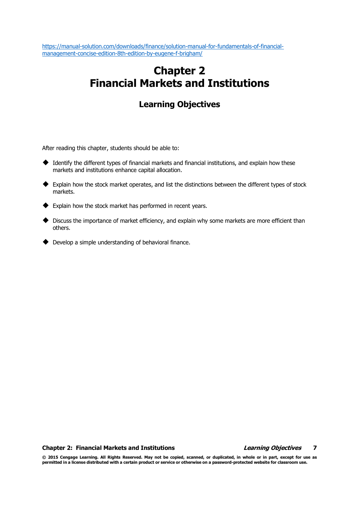# Chapter 2 Financial Markets and Institutions

## Learning Objectives

After reading this chapter, students should be able to:

- ◆ Identify the different types of financial markets and financial institutions, and explain how these markets and institutions enhance capital allocation.
- Explain how the stock market operates, and list the distinctions between the different types of stock markets.
- ◆ Explain how the stock market has performed in recent years.
- Discuss the importance of market efficiency, and explain why some markets are more efficient than others.
- Develop a simple understanding of behavioral finance.

### Chapter 2: Financial Markets and Institutions The Chapter of Learning Objectives 7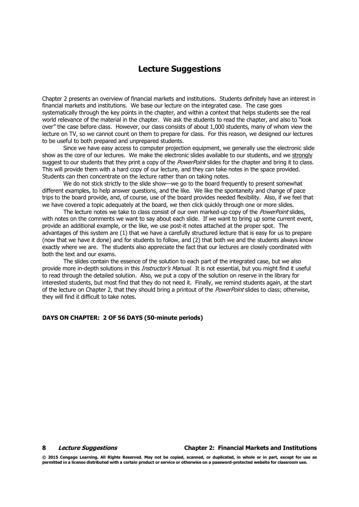## Lecture Suggestions

Chapter 2 presents an overview of financial markets and institutions. Students definitely have an interest in financial markets and institutions. We base our lecture on the integrated case. The case goes systematically through the key points in the chapter, and within a context that helps students see the real world relevance of the material in the chapter. We ask the students to read the chapter, and also to "look over" the case before class. However, our class consists of about 1,000 students, many of whom view the lecture on TV, so we cannot count on them to prepare for class. For this reason, we designed our lectures to be useful to both prepared and unprepared students.

Since we have easy access to computer projection equipment, we generally use the electronic slide show as the core of our lectures. We make the electronic slides available to our students, and we strongly suggest to our students that they print a copy of the *PowerPoint* slides for the chapter and bring it to class. This will provide them with a hard copy of our lecture, and they can take notes in the space provided. Students can then concentrate on the lecture rather than on taking notes.

We do not stick strictly to the slide show—we go to the board frequently to present somewhat different examples, to help answer questions, and the like. We like the spontaneity and change of pace trips to the board provide, and, of course, use of the board provides needed flexibility. Also, if we feel that we have covered a topic adequately at the board, we then click quickly through one or more slides.

The lecture notes we take to class consist of our own marked-up copy of the *PowerPoint* slides, with notes on the comments we want to say about each slide. If we want to bring up some current event, provide an additional example, or the like, we use post-it notes attached at the proper spot. The advantages of this system are (1) that we have a carefully structured lecture that is easy for us to prepare (now that we have it done) and for students to follow, and (2) that both we and the students always know exactly where we are. The students also appreciate the fact that our lectures are closely coordinated with both the text and our exams.

The slides contain the essence of the solution to each part of the integrated case, but we also provide more in-depth solutions in this *Instructor's Manual*. It is not essential, but you might find it useful to read through the detailed solution. Also, we put a copy of the solution on reserve in the library for interested students, but most find that they do not need it. Finally, we remind students again, at the start of the lecture on Chapter 2, that they should bring a printout of the *PowerPoint* slides to class; otherwise, they will find it difficult to take notes.

### DAYS ON CHAPTER: 2 OF 56 DAYS (50-minute periods)

### 8 Lecture Suggestions Chapter 2: Financial Markets and Institutions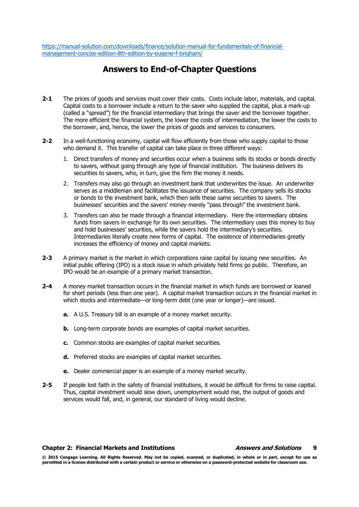## Answers to End-of-Chapter Questions

- 2-1 The prices of goods and services must cover their costs. Costs include labor, materials, and capital. Capital costs to a borrower include a return to the saver who supplied the capital, plus a mark-up (called a "spread") for the financial intermediary that brings the saver and the borrower together. The more efficient the financial system, the lower the costs of intermediation, the lower the costs to the borrower, and, hence, the lower the prices of goods and services to consumers.
- 2-2 In a well-functioning economy, capital will flow efficiently from those who supply capital to those who demand it. This transfer of capital can take place in three different ways:
	- 1. Direct transfers of money and securities occur when a business sells its stocks or bonds directly to savers, without going through any type of financial institution. The business delivers its securities to savers, who, in turn, give the firm the money it needs.
	- 2. Transfers may also go through an investment bank that underwrites the issue. An underwriter serves as a middleman and facilitates the issuance of securities. The company sells its stocks or bonds to the investment bank, which then sells these same securities to savers. The businesses' securities and the savers' money merely "pass through" the investment bank.
	- 3. Transfers can also be made through a financial intermediary. Here the intermediary obtains funds from savers in exchange for its own securities. The intermediary uses this money to buy and hold businesses' securities, while the savers hold the intermediary's securities. Intermediaries literally create new forms of capital. The existence of intermediaries greatly increases the efficiency of money and capital markets.
- 2-3 A primary market is the market in which corporations raise capital by issuing new securities. An initial public offering (IPO) is a stock issue in which privately held firms go public. Therefore, an IPO would be an example of a primary market transaction.
- 2-4 A money market transaction occurs in the financial market in which funds are borrowed or loaned for short periods (less than one year). A capital market transaction occurs in the financial market in which stocks and intermediate—or long-term debt (one year or longer)—are issued.
	- a. A U.S. Treasury bill is an example of a money market security.
	- **b.** Long-term corporate bonds are examples of capital market securities.
	- c. Common stocks are examples of capital market securities.
	- d. Preferred stocks are examples of capital market securities.
	- e. Dealer commercial paper is an example of a money market security.
- 2-5 If people lost faith in the safety of financial institutions, it would be difficult for firms to raise capital. Thus, capital investment would slow down, unemployment would rise, the output of goods and services would fall, and, in general, our standard of living would decline.

### Chapter 2: Financial Markets and Institutions Answers and Solutions 9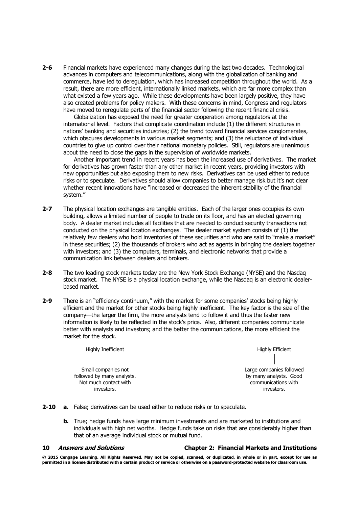2-6 Financial markets have experienced many changes during the last two decades. Technological advances in computers and telecommunications, along with the globalization of banking and commerce, have led to deregulation, which has increased competition throughout the world. As a result, there are more efficient, internationally linked markets, which are far more complex than what existed a few years ago. While these developments have been largely positive, they have also created problems for policy makers. With these concerns in mind, Congress and regulators have moved to reregulate parts of the financial sector following the recent financial crisis.

Globalization has exposed the need for greater cooperation among regulators at the international level. Factors that complicate coordination include (1) the different structures in nations' banking and securities industries; (2) the trend toward financial services conglomerates, which obscures developments in various market segments; and (3) the reluctance of individual countries to give up control over their national monetary policies. Still, regulators are unanimous about the need to close the gaps in the supervision of worldwide markets.

Another important trend in recent years has been the increased use of derivatives. The market for derivatives has grown faster than any other market in recent years, providing investors with new opportunities but also exposing them to new risks. Derivatives can be used either to reduce risks or to speculate. Derivatives should allow companies to better manage risk but it's not clear whether recent innovations have "increased or decreased the inherent stability of the financial system."

- 2-7 The physical location exchanges are tangible entities. Each of the larger ones occupies its own building, allows a limited number of people to trade on its floor, and has an elected governing body. A dealer market includes all facilities that are needed to conduct security transactions not conducted on the physical location exchanges. The dealer market system consists of (1) the relatively few dealers who hold inventories of these securities and who are said to "make a market" in these securities; (2) the thousands of brokers who act as agents in bringing the dealers together with investors; and (3) the computers, terminals, and electronic networks that provide a communication link between dealers and brokers.
- 2-8 The two leading stock markets today are the New York Stock Exchange (NYSE) and the Nasdaq stock market. The NYSE is a physical location exchange, while the Nasdaq is an electronic dealerbased market.
- 2-9 There is an "efficiency continuum," with the market for some companies' stocks being highly efficient and the market for other stocks being highly inefficient. The key factor is the size of the company—the larger the firm, the more analysts tend to follow it and thus the faster new information is likely to be reflected in the stock's price. Also, different companies communicate better with analysts and investors; and the better the communications, the more efficient the market for the stock.

| Highly Inefficient         | Highly Efficient         |
|----------------------------|--------------------------|
| Small companies not        | Large companies followed |
| followed by many analysts. | by many analysts. Good   |
| Not much contact with      | communications with      |
| investors.                 | investors.               |

- 2-10 a. False; derivatives can be used either to reduce risks or to speculate.
	- **b.** True; hedge funds have large minimum investments and are marketed to institutions and individuals with high net worths. Hedge funds take on risks that are considerably higher than that of an average individual stock or mutual fund.

### 10 Answers and Solutions Chapter 2: Financial Markets and Institutions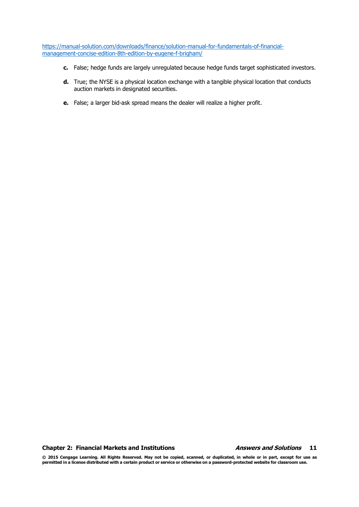- c. False; hedge funds are largely unregulated because hedge funds target sophisticated investors.
- d. True; the NYSE is a physical location exchange with a tangible physical location that conducts auction markets in designated securities.
- e. False; a larger bid-ask spread means the dealer will realize a higher profit.

Chapter 2: Financial Markets and Institutions **Answers and Solutions** 11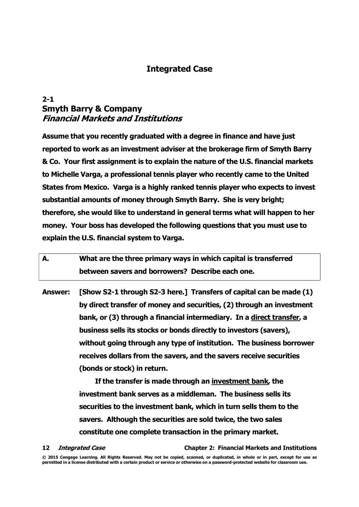## Integrated Case

## 2-1 Smyth Barry & Company Financial Markets and Institutions

Assume that you recently graduated with a degree in finance and have just reported to work as an investment adviser at the brokerage firm of Smyth Barry & Co. Your first assignment is to explain the nature of the U.S. financial markets to Michelle Varga, a professional tennis player who recently came to the United States from Mexico. Varga is a highly ranked tennis player who expects to invest substantial amounts of money through Smyth Barry. She is very bright; therefore, she would like to understand in general terms what will happen to her money. Your boss has developed the following questions that you must use to explain the U.S. financial system to Varga.

| А. | What are the three primary ways in which capital is transferred |
|----|-----------------------------------------------------------------|
|    | between savers and borrowers? Describe each one.                |

Answer: [Show S2-1 through S2-3 here.] Transfers of capital can be made (1) by direct transfer of money and securities, (2) through an investment bank, or (3) through a financial intermediary. In a direct transfer, a business sells its stocks or bonds directly to investors (savers), without going through any type of institution. The business borrower receives dollars from the savers, and the savers receive securities (bonds or stock) in return.

> If the transfer is made through an investment bank, the investment bank serves as a middleman. The business sells its securities to the investment bank, which in turn sells them to the savers. Although the securities are sold twice, the two sales constitute one complete transaction in the primary market.

12 Integrated Case Communication Chapter 2: Financial Markets and Institutions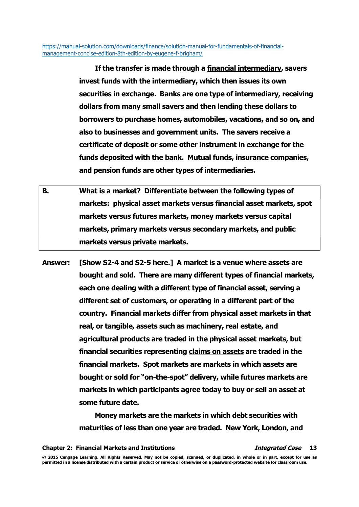> If the transfer is made through a financial intermediary, savers invest funds with the intermediary, which then issues its own securities in exchange. Banks are one type of intermediary, receiving dollars from many small savers and then lending these dollars to borrowers to purchase homes, automobiles, vacations, and so on, and also to businesses and government units. The savers receive a certificate of deposit or some other instrument in exchange for the funds deposited with the bank. Mutual funds, insurance companies, and pension funds are other types of intermediaries.

- B. What is a market? Differentiate between the following types of markets: physical asset markets versus financial asset markets, spot markets versus futures markets, money markets versus capital markets, primary markets versus secondary markets, and public markets versus private markets.
- Answer: [Show S2-4 and S2-5 here.] A market is a venue where assets are bought and sold. There are many different types of financial markets, each one dealing with a different type of financial asset, serving a different set of customers, or operating in a different part of the country. Financial markets differ from physical asset markets in that real, or tangible, assets such as machinery, real estate, and agricultural products are traded in the physical asset markets, but financial securities representing claims on assets are traded in the financial markets. Spot markets are markets in which assets are bought or sold for "on-the-spot" delivery, while futures markets are markets in which participants agree today to buy or sell an asset at some future date.

Money markets are the markets in which debt securities with maturities of less than one year are traded. New York, London, and

Chapter 2: Financial Markets and Institutions The Manuscripture of the Case 13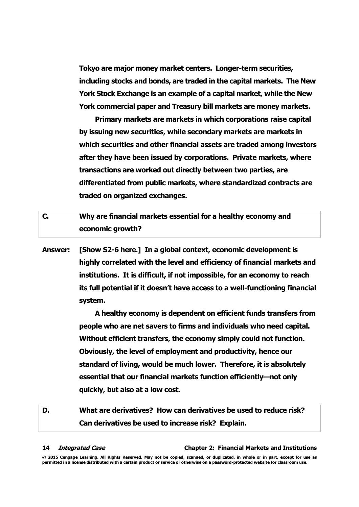Tokyo are major money market centers. Longer-term securities, including stocks and bonds, are traded in the capital markets. The New York Stock Exchange is an example of a capital market, while the New York commercial paper and Treasury bill markets are money markets.

Primary markets are markets in which corporations raise capital by issuing new securities, while secondary markets are markets in which securities and other financial assets are traded among investors after they have been issued by corporations. Private markets, where transactions are worked out directly between two parties, are differentiated from public markets, where standardized contracts are traded on organized exchanges.

- C. Why are financial markets essential for a healthy economy and economic growth?
- Answer: [Show S2-6 here.] In a global context, economic development is highly correlated with the level and efficiency of financial markets and institutions. It is difficult, if not impossible, for an economy to reach its full potential if it doesn't have access to a well-functioning financial system.

A healthy economy is dependent on efficient funds transfers from people who are net savers to firms and individuals who need capital. Without efficient transfers, the economy simply could not function. Obviously, the level of employment and productivity, hence our standard of living, would be much lower. Therefore, it is absolutely essential that our financial markets function efficiently—not only quickly, but also at a low cost.

## D. What are derivatives? How can derivatives be used to reduce risk? Can derivatives be used to increase risk? Explain.

### 14 Integrated Case Communication Chapter 2: Financial Markets and Institutions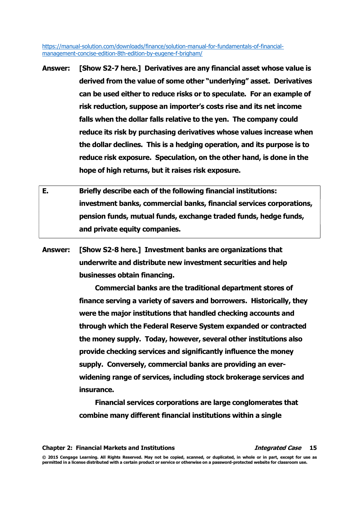- Answer: [Show S2-7 here.] Derivatives are any financial asset whose value is derived from the value of some other "underlying" asset. Derivatives can be used either to reduce risks or to speculate. For an example of risk reduction, suppose an importer's costs rise and its net income falls when the dollar falls relative to the yen. The company could reduce its risk by purchasing derivatives whose values increase when the dollar declines. This is a hedging operation, and its purpose is to reduce risk exposure. Speculation, on the other hand, is done in the hope of high returns, but it raises risk exposure.
- E. Briefly describe each of the following financial institutions: investment banks, commercial banks, financial services corporations, pension funds, mutual funds, exchange traded funds, hedge funds, and private equity companies.
- Answer: [Show S2-8 here.] Investment banks are organizations that underwrite and distribute new investment securities and help businesses obtain financing.

Commercial banks are the traditional department stores of finance serving a variety of savers and borrowers. Historically, they were the major institutions that handled checking accounts and through which the Federal Reserve System expanded or contracted the money supply. Today, however, several other institutions also provide checking services and significantly influence the money supply. Conversely, commercial banks are providing an everwidening range of services, including stock brokerage services and insurance.

Financial services corporations are large conglomerates that combine many different financial institutions within a single

Chapter 2: Financial Markets and Institutions The Manuscripture of the Case 15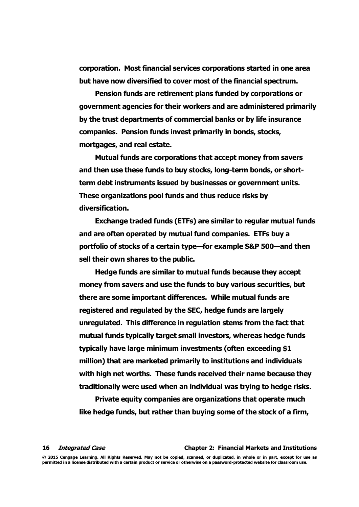corporation. Most financial services corporations started in one area but have now diversified to cover most of the financial spectrum.

Pension funds are retirement plans funded by corporations or government agencies for their workers and are administered primarily by the trust departments of commercial banks or by life insurance companies. Pension funds invest primarily in bonds, stocks, mortgages, and real estate.

Mutual funds are corporations that accept money from savers and then use these funds to buy stocks, long-term bonds, or shortterm debt instruments issued by businesses or government units. These organizations pool funds and thus reduce risks by diversification.

Exchange traded funds (ETFs) are similar to regular mutual funds and are often operated by mutual fund companies. ETFs buy a portfolio of stocks of a certain type—for example S&P 500—and then sell their own shares to the public.

Hedge funds are similar to mutual funds because they accept money from savers and use the funds to buy various securities, but there are some important differences. While mutual funds are registered and regulated by the SEC, hedge funds are largely unregulated. This difference in regulation stems from the fact that mutual funds typically target small investors, whereas hedge funds typically have large minimum investments (often exceeding \$1 million) that are marketed primarily to institutions and individuals with high net worths. These funds received their name because they traditionally were used when an individual was trying to hedge risks.

Private equity companies are organizations that operate much like hedge funds, but rather than buying some of the stock of a firm,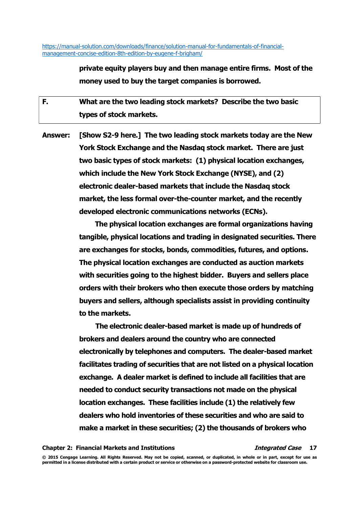> private equity players buy and then manage entire firms. Most of the money used to buy the target companies is borrowed.

F. What are the two leading stock markets? Describe the two basic types of stock markets.

Answer: [Show S2-9 here.] The two leading stock markets today are the New York Stock Exchange and the Nasdaq stock market. There are just two basic types of stock markets: (1) physical location exchanges, which include the New York Stock Exchange (NYSE), and (2) electronic dealer-based markets that include the Nasdaq stock market, the less formal over-the-counter market, and the recently developed electronic communications networks (ECNs).

> The physical location exchanges are formal organizations having tangible, physical locations and trading in designated securities. There are exchanges for stocks, bonds, commodities, futures, and options. The physical location exchanges are conducted as auction markets with securities going to the highest bidder. Buyers and sellers place orders with their brokers who then execute those orders by matching buyers and sellers, although specialists assist in providing continuity to the markets.

The electronic dealer-based market is made up of hundreds of brokers and dealers around the country who are connected electronically by telephones and computers. The dealer-based market facilitates trading of securities that are not listed on a physical location exchange. A dealer market is defined to include all facilities that are needed to conduct security transactions not made on the physical location exchanges. These facilities include (1) the relatively few dealers who hold inventories of these securities and who are said to make a market in these securities; (2) the thousands of brokers who

Chapter 2: Financial Markets and Institutions **Integrated Case** 17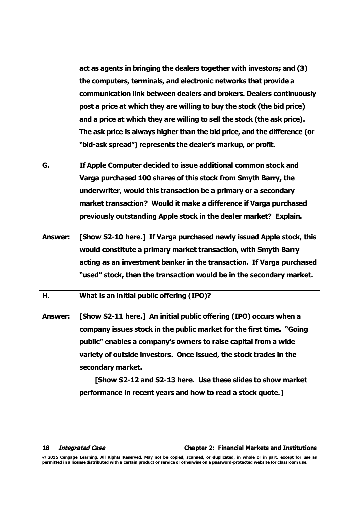act as agents in bringing the dealers together with investors; and (3) the computers, terminals, and electronic networks that provide a communication link between dealers and brokers. Dealers continuously post a price at which they are willing to buy the stock (the bid price) and a price at which they are willing to sell the stock (the ask price). The ask price is always higher than the bid price, and the difference (or "bid-ask spread") represents the dealer's markup, or profit.

- G. If Apple Computer decided to issue additional common stock and Varga purchased 100 shares of this stock from Smyth Barry, the underwriter, would this transaction be a primary or a secondary market transaction? Would it make a difference if Varga purchased previously outstanding Apple stock in the dealer market? Explain.
- Answer: [Show S2-10 here.] If Varga purchased newly issued Apple stock, this would constitute a primary market transaction, with Smyth Barry acting as an investment banker in the transaction. If Varga purchased "used" stock, then the transaction would be in the secondary market.

H. What is an initial public offering (IPO)?

Answer: [Show S2-11 here.] An initial public offering (IPO) occurs when a company issues stock in the public market for the first time. "Going public" enables a company's owners to raise capital from a wide variety of outside investors. Once issued, the stock trades in the secondary market.

> [Show S2-12 and S2-13 here. Use these slides to show market performance in recent years and how to read a stock quote.]

18 Integrated Case Communication Chapter 2: Financial Markets and Institutions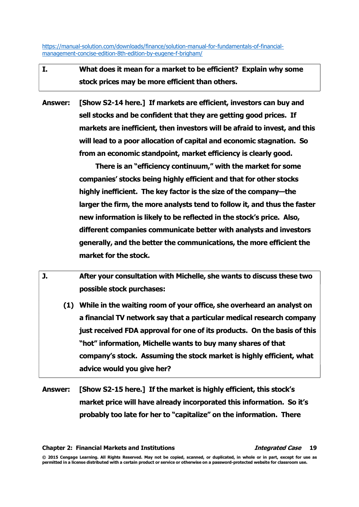- I. What does it mean for a market to be efficient? Explain why some stock prices may be more efficient than others.
- Answer: [Show S2-14 here.] If markets are efficient, investors can buy and sell stocks and be confident that they are getting good prices. If markets are inefficient, then investors will be afraid to invest, and this will lead to a poor allocation of capital and economic stagnation. So from an economic standpoint, market efficiency is clearly good.

There is an "efficiency continuum," with the market for some companies' stocks being highly efficient and that for other stocks highly inefficient. The key factor is the size of the company—the larger the firm, the more analysts tend to follow it, and thus the faster new information is likely to be reflected in the stock's price. Also, different companies communicate better with analysts and investors generally, and the better the communications, the more efficient the market for the stock.

- J. After your consultation with Michelle, she wants to discuss these two possible stock purchases:
	- (1) While in the waiting room of your office, she overheard an analyst on a financial TV network say that a particular medical research company just received FDA approval for one of its products. On the basis of this "hot" information, Michelle wants to buy many shares of that company's stock. Assuming the stock market is highly efficient, what advice would you give her?
- Answer: [Show S2-15 here.] If the market is highly efficient, this stock's market price will have already incorporated this information. So it's probably too late for her to "capitalize" on the information. There

Chapter 2: Financial Markets and Institutions The Manuscription of the Case 19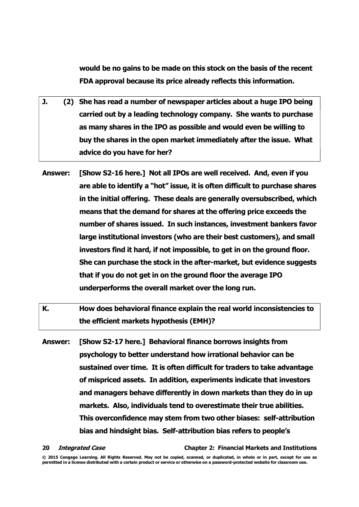would be no gains to be made on this stock on the basis of the recent FDA approval because its price already reflects this information.

- J. (2) She has read a number of newspaper articles about a huge IPO being carried out by a leading technology company. She wants to purchase as many shares in the IPO as possible and would even be willing to buy the shares in the open market immediately after the issue. What advice do you have for her?
- Answer: [Show S2-16 here.] Not all IPOs are well received. And, even if you are able to identify a "hot" issue, it is often difficult to purchase shares in the initial offering. These deals are generally oversubscribed, which means that the demand for shares at the offering price exceeds the number of shares issued. In such instances, investment bankers favor large institutional investors (who are their best customers), and small investors find it hard, if not impossible, to get in on the ground floor. She can purchase the stock in the after-market, but evidence suggests that if you do not get in on the ground floor the average IPO underperforms the overall market over the long run.
- K. How does behavioral finance explain the real world inconsistencies to the efficient markets hypothesis (EMH)?
- Answer: [Show S2-17 here.] Behavioral finance borrows insights from psychology to better understand how irrational behavior can be sustained over time. It is often difficult for traders to take advantage of mispriced assets. In addition, experiments indicate that investors and managers behave differently in down markets than they do in up markets. Also, individuals tend to overestimate their true abilities. This overconfidence may stem from two other biases: self-attribution bias and hindsight bias. Self-attribution bias refers to people's

## 20 Integrated Case Communication Chapter 2: Financial Markets and Institutions